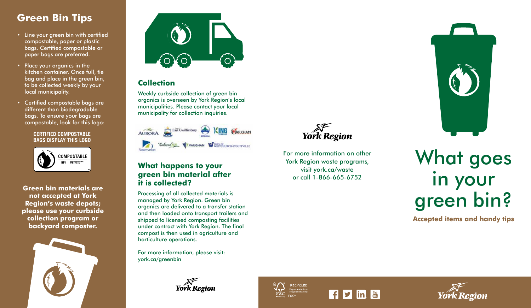## **Green Bin Tips**

- Line your green bin with certified compostable, paper or plastic bags. Certified compostable or paper bags are preferred.
- Place your organics in the kitchen container. Once full, tie bag and place in the green bin, to be collected weekly by your local municipality.
- Certified compostable bags are different than biodegradable bags. To ensure your bags are compostable, look for this logo:

#### **CERTIFIED COMPOSTABLE BAGS DISPLAY THIS LOGO**



**Green bin materials are not accepted at York Region's waste depots;**  please use your curbside **collection program or backyard composter.**





#### **Collection**

Weekly curbside collection of green bin organics is overseen by York Region's local municipalities. Please contact your local municipality for collection inquiries.



#### **What happens to your green bin material after it is collected?**

Processing of all collected materials is managed by York Region. Green bin organics are delivered to a transfer station and then loaded onto transport trailers and shipped to licensed composting facilities under contract with York Region. The final compost is then used in agriculture and horticulture operations.

For more information, please visit: york.ca/greenbin

**York Region** 









For more information on other York Region waste program s , visit york.ca/waste or call 1-866-665-6752

What goes in your green bin?

**Accepted items and handy tips**